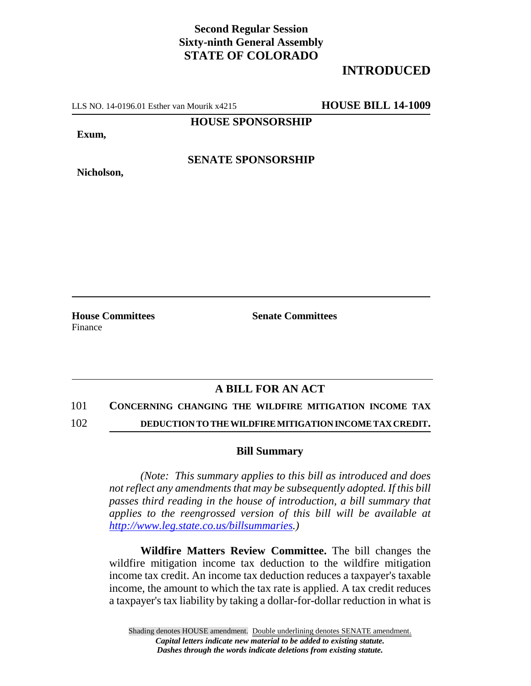# **Second Regular Session Sixty-ninth General Assembly STATE OF COLORADO**

# **INTRODUCED**

LLS NO. 14-0196.01 Esther van Mourik x4215 **HOUSE BILL 14-1009**

### **HOUSE SPONSORSHIP**

**Exum,**

**Nicholson,**

**SENATE SPONSORSHIP**

**House Committees Senate Committees** Finance

### **A BILL FOR AN ACT**

101 **CONCERNING CHANGING THE WILDFIRE MITIGATION INCOME TAX**

102 **DEDUCTION TO THE WILDFIRE MITIGATION INCOME TAX CREDIT.**

#### **Bill Summary**

*(Note: This summary applies to this bill as introduced and does not reflect any amendments that may be subsequently adopted. If this bill passes third reading in the house of introduction, a bill summary that applies to the reengrossed version of this bill will be available at http://www.leg.state.co.us/billsummaries.)*

**Wildfire Matters Review Committee.** The bill changes the wildfire mitigation income tax deduction to the wildfire mitigation income tax credit. An income tax deduction reduces a taxpayer's taxable income, the amount to which the tax rate is applied. A tax credit reduces a taxpayer's tax liability by taking a dollar-for-dollar reduction in what is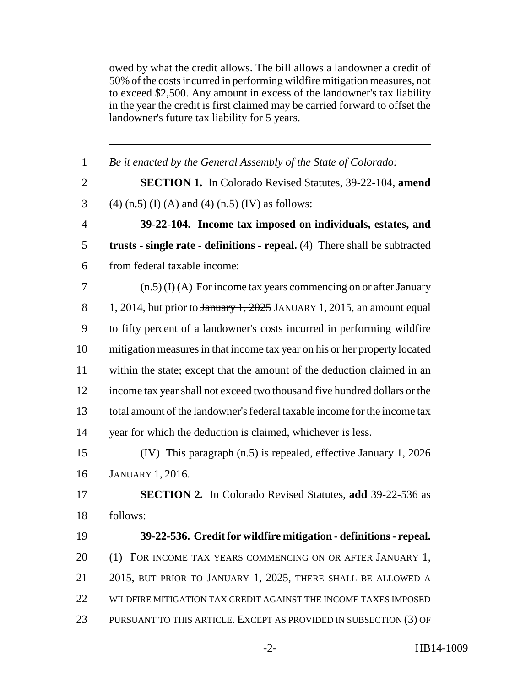owed by what the credit allows. The bill allows a landowner a credit of 50% of the costs incurred in performing wildfire mitigation measures, not to exceed \$2,500. Any amount in excess of the landowner's tax liability in the year the credit is first claimed may be carried forward to offset the landowner's future tax liability for 5 years.

| $\mathbf{1}$   | Be it enacted by the General Assembly of the State of Colorado:            |
|----------------|----------------------------------------------------------------------------|
| $\overline{2}$ | <b>SECTION 1.</b> In Colorado Revised Statutes, 39-22-104, amend           |
| 3              | $(4)$ (n.5) (I) (A) and (4) (n.5) (IV) as follows:                         |
| $\overline{4}$ | 39-22-104. Income tax imposed on individuals, estates, and                 |
| 5              | trusts - single rate - definitions - repeal. (4) There shall be subtracted |
| 6              | from federal taxable income:                                               |
| 7              | $(n.5)$ (I) (A) For income tax years commencing on or after January        |
| 8              | 1, 2014, but prior to $\frac{1}{2025}$ JANUARY 1, 2015, an amount equal    |
| 9              | to fifty percent of a landowner's costs incurred in performing wildfire    |
| 10             | mitigation measures in that income tax year on his or her property located |
| 11             | within the state; except that the amount of the deduction claimed in an    |
| 12             | income tax year shall not exceed two thousand five hundred dollars or the  |
| 13             | total amount of the landowner's federal taxable income for the income tax  |
| 14             | year for which the deduction is claimed, whichever is less.                |
| 15             | (IV) This paragraph $(n.5)$ is repealed, effective January 1, 2026         |
| 16             | <b>JANUARY 1, 2016.</b>                                                    |
| 17             | <b>SECTION 2.</b> In Colorado Revised Statutes, add 39-22-536 as           |
| 18             | follows:                                                                   |
| 19             | 39-22-536. Credit for wildfire mitigation - definitions - repeal.          |
| 20             | (1) FOR INCOME TAX YEARS COMMENCING ON OR AFTER JANUARY 1,                 |
| 21             | 2015, BUT PRIOR TO JANUARY 1, 2025, THERE SHALL BE ALLOWED A               |
| 22             | WILDFIRE MITIGATION TAX CREDIT AGAINST THE INCOME TAXES IMPOSED            |
| 23             | PURSUANT TO THIS ARTICLE. EXCEPT AS PROVIDED IN SUBSECTION (3) OF          |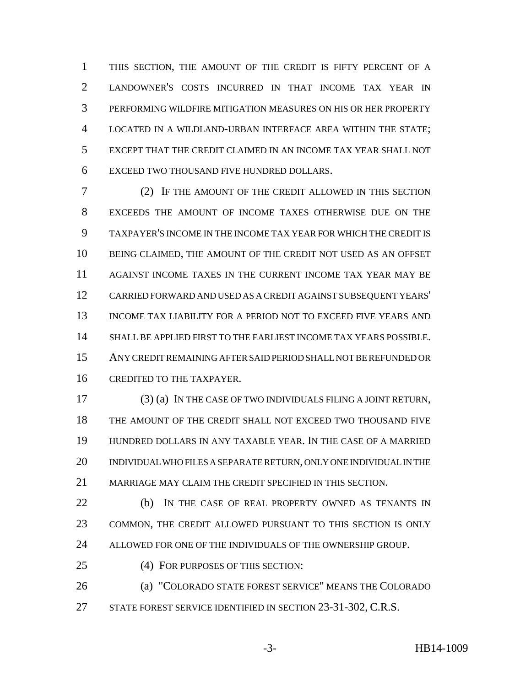THIS SECTION, THE AMOUNT OF THE CREDIT IS FIFTY PERCENT OF A LANDOWNER'S COSTS INCURRED IN THAT INCOME TAX YEAR IN PERFORMING WILDFIRE MITIGATION MEASURES ON HIS OR HER PROPERTY LOCATED IN A WILDLAND-URBAN INTERFACE AREA WITHIN THE STATE; EXCEPT THAT THE CREDIT CLAIMED IN AN INCOME TAX YEAR SHALL NOT EXCEED TWO THOUSAND FIVE HUNDRED DOLLARS.

 (2) IF THE AMOUNT OF THE CREDIT ALLOWED IN THIS SECTION EXCEEDS THE AMOUNT OF INCOME TAXES OTHERWISE DUE ON THE TAXPAYER'S INCOME IN THE INCOME TAX YEAR FOR WHICH THE CREDIT IS BEING CLAIMED, THE AMOUNT OF THE CREDIT NOT USED AS AN OFFSET AGAINST INCOME TAXES IN THE CURRENT INCOME TAX YEAR MAY BE CARRIED FORWARD AND USED AS A CREDIT AGAINST SUBSEQUENT YEARS' INCOME TAX LIABILITY FOR A PERIOD NOT TO EXCEED FIVE YEARS AND SHALL BE APPLIED FIRST TO THE EARLIEST INCOME TAX YEARS POSSIBLE. ANY CREDIT REMAINING AFTER SAID PERIOD SHALL NOT BE REFUNDED OR CREDITED TO THE TAXPAYER.

 (3) (a) IN THE CASE OF TWO INDIVIDUALS FILING A JOINT RETURN, THE AMOUNT OF THE CREDIT SHALL NOT EXCEED TWO THOUSAND FIVE HUNDRED DOLLARS IN ANY TAXABLE YEAR. IN THE CASE OF A MARRIED INDIVIDUAL WHO FILES A SEPARATE RETURN, ONLY ONE INDIVIDUAL IN THE MARRIAGE MAY CLAIM THE CREDIT SPECIFIED IN THIS SECTION.

 (b) IN THE CASE OF REAL PROPERTY OWNED AS TENANTS IN COMMON, THE CREDIT ALLOWED PURSUANT TO THIS SECTION IS ONLY ALLOWED FOR ONE OF THE INDIVIDUALS OF THE OWNERSHIP GROUP.

(4) FOR PURPOSES OF THIS SECTION:

 (a) "COLORADO STATE FOREST SERVICE" MEANS THE COLORADO 27 STATE FOREST SERVICE IDENTIFIED IN SECTION 23-31-302, C.R.S.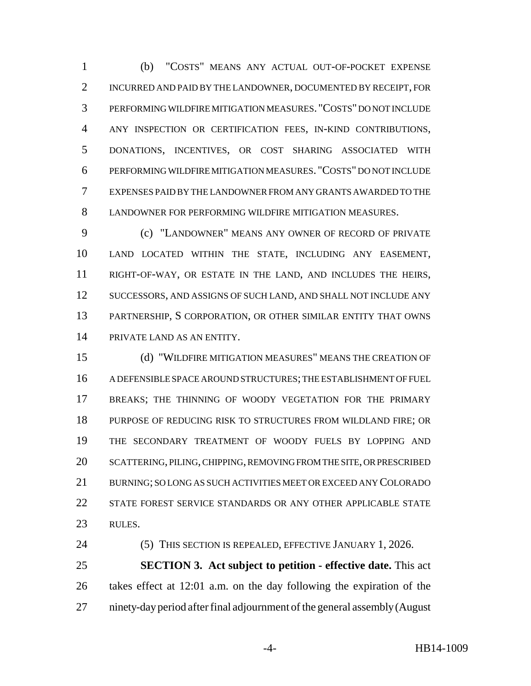(b) "COSTS" MEANS ANY ACTUAL OUT-OF-POCKET EXPENSE INCURRED AND PAID BY THE LANDOWNER, DOCUMENTED BY RECEIPT, FOR PERFORMING WILDFIRE MITIGATION MEASURES. "COSTS" DO NOT INCLUDE ANY INSPECTION OR CERTIFICATION FEES, IN-KIND CONTRIBUTIONS, DONATIONS, INCENTIVES, OR COST SHARING ASSOCIATED WITH PERFORMING WILDFIRE MITIGATION MEASURES. "COSTS" DO NOT INCLUDE EXPENSES PAID BY THE LANDOWNER FROM ANY GRANTS AWARDED TO THE LANDOWNER FOR PERFORMING WILDFIRE MITIGATION MEASURES.

 (c) "LANDOWNER" MEANS ANY OWNER OF RECORD OF PRIVATE LAND LOCATED WITHIN THE STATE, INCLUDING ANY EASEMENT, RIGHT-OF-WAY, OR ESTATE IN THE LAND, AND INCLUDES THE HEIRS, SUCCESSORS, AND ASSIGNS OF SUCH LAND, AND SHALL NOT INCLUDE ANY PARTNERSHIP, S CORPORATION, OR OTHER SIMILAR ENTITY THAT OWNS PRIVATE LAND AS AN ENTITY.

 (d) "WILDFIRE MITIGATION MEASURES" MEANS THE CREATION OF A DEFENSIBLE SPACE AROUND STRUCTURES; THE ESTABLISHMENT OF FUEL BREAKS; THE THINNING OF WOODY VEGETATION FOR THE PRIMARY PURPOSE OF REDUCING RISK TO STRUCTURES FROM WILDLAND FIRE; OR THE SECONDARY TREATMENT OF WOODY FUELS BY LOPPING AND SCATTERING, PILING, CHIPPING, REMOVING FROM THE SITE, OR PRESCRIBED BURNING; SO LONG AS SUCH ACTIVITIES MEET OR EXCEED ANY COLORADO STATE FOREST SERVICE STANDARDS OR ANY OTHER APPLICABLE STATE RULES.

(5) THIS SECTION IS REPEALED, EFFECTIVE JANUARY 1, 2026.

 **SECTION 3. Act subject to petition - effective date.** This act takes effect at 12:01 a.m. on the day following the expiration of the ninety-day period after final adjournment of the general assembly (August